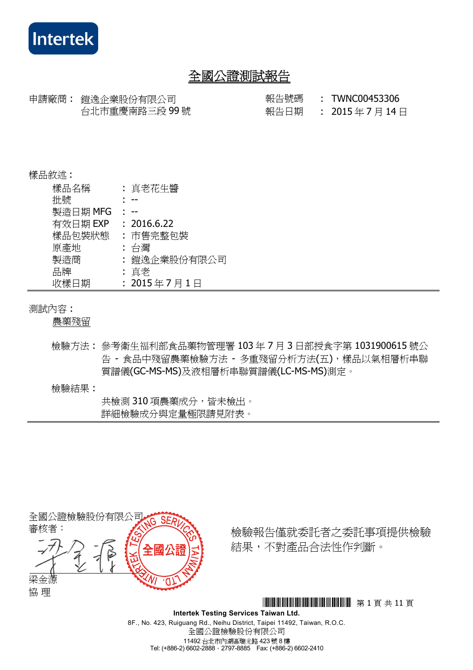

申請廠商 : 鎧逸企業股份有限公司 報告號碼 : TWNC00453306 台北市重慶南路三段 99 號

報告日期 : 2015 年 7 月 14 日

#### 樣品敘述 :

| 樣品名稱     | : 真老花生醬      |
|----------|--------------|
| 批號       |              |
| 製造日期 MFG |              |
| 有效日期 EXP | : 2016.6.22  |
| 樣品包裝狀態   | : 市售完整包裝     |
| 原產地      | : 台灣         |
| 製造商      | : 鎧逸企業股份有限公司 |
| 品牌       | : 真老         |
| 收樣日期     | : 2015年7月1日  |

#### 測試內容 :

農藥殘留

- 檢驗方法 : 參考衛生福利部食品藥物管理署 103 年 7 月 3 日部授食字第 1031900615 號公 告 - 食品中殘留農藥檢驗方法 - 多重殘留分析方法(五),樣品以氣相層析串聯 質譜儀(GC-MS-MS)及液相層析串聯質譜儀(LC-MS-MS)測定。
- 檢驗結果 :

 共檢測 310 項農藥成分,皆未檢出。 詳細檢驗成分與定量極限請見附表。



檢驗報告僅就委託者之委託事項提供檢驗 結果,不對產品合法性作判斷。

\*THJ0453306\* <sup>第</sup> 1 <sup>頁</sup> <sup>共</sup> 11 <sup>頁</sup>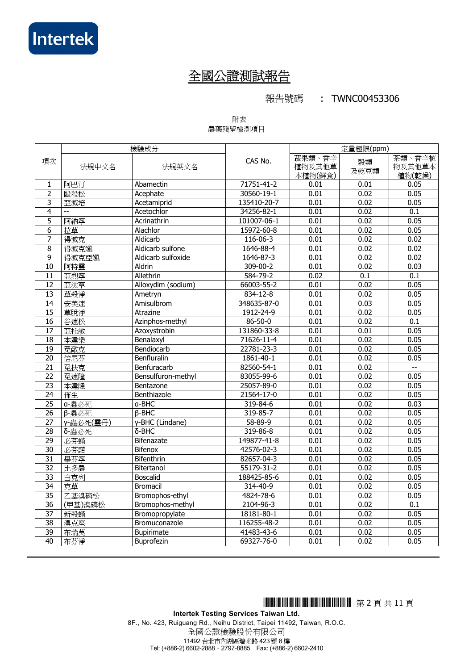#### 報告號碼 : TWNC00453306

#### 附表 農藥殘留檢測項目

|                 |                           | 檢驗成分               |                  | 定量極限(ppm)                   |            |                            |
|-----------------|---------------------------|--------------------|------------------|-----------------------------|------------|----------------------------|
| 項次              | 法規中文名                     | 法規英文名              | CAS No.          | 蔬果類、香辛<br>植物及其他草<br>本植物(鮮食) | 穀類<br>及乾豆類 | 茶類、香辛植<br>物及其他草本<br>植物(乾燥) |
| $\mathbf{1}$    | 阿巴汀                       | Abamectin          | 71751-41-2       | 0.01                        | 0.01       | 0.05                       |
| $\overline{2}$  | 毆殺松                       | Acephate           | $30560 - 19 - 1$ | 0.01                        | 0.02       | 0.05                       |
| 3               | 亞滅培                       | Acetamiprid        | 135410-20-7      | 0.01                        | 0.02       | 0.05                       |
| $\overline{4}$  | $\mathbb{L}^{\mathbb{L}}$ | Acetochlor         | 34256-82-1       | 0.01                        | 0.02       | $\overline{0.1}$           |
| $\overline{5}$  | 阿納寧                       | Acrinathrin        | 101007-06-1      | 0.01                        | 0.02       | 0.05                       |
| $\overline{6}$  | 拉草                        | Alachlor           | 15972-60-8       | 0.01                        | 0.02       | 0.05                       |
| 7               | 得滅克                       | Aldicarb           | 116-06-3         | 0.01                        | 0.02       | 0.02                       |
| 8               | 得滅克颯                      | Aldicarb sulfone   | 1646-88-4        | 0.01                        | 0.02       | 0.02                       |
| $\overline{9}$  | 得滅克亞颯                     | Aldicarb sulfoxide | 1646-87-3        | 0.01                        | 0.02       | 0.02                       |
| $\overline{10}$ | 阿特靈                       | Aldrin             | $309 - 00 - 2$   | 0.01                        | 0.02       | 0.03                       |
| 11              | 亞烈寧                       | Allethrin          | 584-79-2         | 0.02                        | 0.1        | 0.1                        |
| $\overline{12}$ | 亞汰草                       | Alloxydim (sodium) | 66003-55-2       | 0.01                        | 0.02       | 0.05                       |
| $\overline{13}$ | 草殺淨                       | Ametryn            | 834-12-8         | 0.01                        | 0.02       | 0.05                       |
| $\overline{14}$ | 安美速                       | Amisulbrom         | 348635-87-0      | 0.01                        | 0.03       | 0.05                       |
| 15              | 草脫淨                       | Atrazine           | 1912-24-9        | 0.01                        | 0.02       | 0.05                       |
| $\overline{16}$ | 谷速松                       | Azinphos-methyl    | $86 - 50 - 0$    | 0.01                        | 0.02       | $\overline{0.1}$           |
| $\overline{17}$ | 亞托敏                       | Azoxystrobin       | 131860-33-8      | 0.01                        | 0.01       | 0.05                       |
| 18              | 本達樂                       | Benalaxyl          | 71626-11-4       | 0.01                        | 0.02       | 0.05                       |
| 19              | 免敵克                       | Bendiocarb         | 22781-23-3       | 0.01                        | 0.02       | 0.05                       |
| $\overline{20}$ | 倍尼芬                       | Benfluralin        | 1861-40-1        | 0.01                        | 0.02       | 0.05                       |
| $\overline{21}$ | 免扶克                       | Benfuracarb        | 82560-54-1       | 0.01                        | 0.02       | $\overline{\phantom{a}}$   |
| $\overline{22}$ | 免速隆                       | Bensulfuron-methyl | 83055-99-6       | 0.01                        | 0.02       | 0.05                       |
| $\overline{23}$ | 本達隆                       | Bentazone          | 25057-89-0       | 0.01                        | 0.02       | 0.05                       |
| 24              | 佈生                        | Benthiazole        | 21564-17-0       | 0.01                        | 0.02       | 0.05                       |
| $\overline{25}$ | a-蟲必死                     | a-BHC              | 319-84-6         | 0.01                        | 0.02       | 0.03                       |
| $\overline{26}$ | β-蟲必死                     | $B-BHC$            | 319-85-7         | 0.01                        | 0.02       | 0.05                       |
| $\overline{27}$ | γ-蟲必死(靈丹)                 | y-BHC (Lindane)    | $58 - 89 - 9$    | 0.01                        | 0.02       | 0.05                       |
| $\overline{28}$ | δ-蟲必死                     | δ-BHC              | 319-86-8         | 0.01                        | 0.02       | 0.05                       |
| 29              | 必芬蟎                       | Bifenazate         | 149877-41-8      | 0.01                        | 0.02       | 0.05                       |
| $\overline{30}$ | 必芬諾                       | <b>Bifenox</b>     | 42576-02-3       | 0.01                        | 0.02       | 0.05                       |
| $\overline{31}$ | 畢芬寧                       | Bifenthrin         | 82657-04-3       | 0.01                        | 0.02       | 0.05                       |
| $\overline{32}$ | 比多農                       | <b>Bitertanol</b>  | 55179-31-2       | 0.01                        | 0.02       | 0.05                       |
| $\overline{33}$ | 白克列                       | <b>Boscalid</b>    | 188425-85-6      | 0.01                        | 0.02       | 0.05                       |
| $\overline{34}$ | 克草                        | <b>Bromacil</b>    | 314-40-9         | 0.01                        | 0.02       | 0.05                       |
| $\overline{35}$ | 乙基溴磷松                     | Bromophos-ethyl    | 4824-78-6        | 0.01                        | 0.02       | 0.05                       |
| $\overline{36}$ | (甲基)溴磷松                   | Bromophos-methyl   | 2104-96-3        | 0.01                        | 0.02       | 0.1                        |
| $\overline{37}$ | 新殺蟎                       | Bromopropylate     | 18181-80-1       | 0.01                        | 0.02       | 0.05                       |
| $\overline{38}$ | 溴克座                       | Bromuconazole      | 116255-48-2      | 0.01                        | 0.02       | 0.05                       |
| 39              | 布瑞莫                       | Bupirimate         | 41483-43-6       | 0.01                        | 0.02       | 0.05                       |
| $\overline{40}$ | 布芬淨                       | Buprofezin         | 69327-76-0       | 0.01                        | 0.02       | 0.05                       |

\*THJ0453306\* <sup>第</sup> 2 <sup>頁</sup> <sup>共</sup> 11 <sup>頁</sup>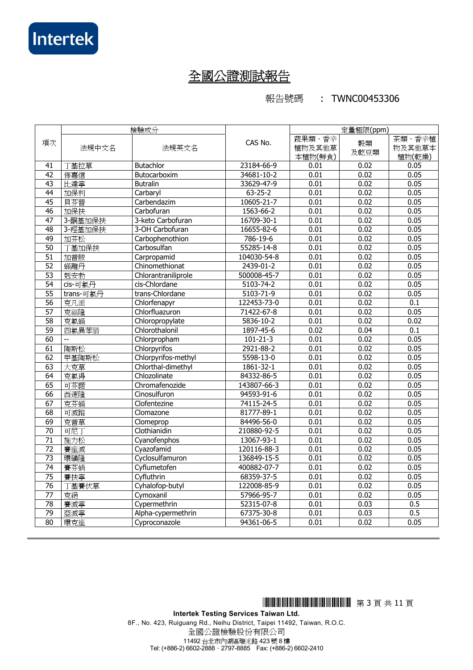報告號碼 : TWNC00453306

|                 | 檢驗成分      |                     |                         | 定量極限(ppm)                   |            |                            |
|-----------------|-----------|---------------------|-------------------------|-----------------------------|------------|----------------------------|
| 項次              | 法規中文名     | 法規英文名               | CAS No.                 | 蔬果類、香辛<br>植物及其他草<br>本植物(鮮食) | 穀類<br>及乾豆類 | 茶類、香辛植<br>物及其他草本<br>植物(乾燥) |
| 41              | 丁基拉草      | <b>Butachlor</b>    | 23184-66-9              | 0.01                        | 0.02       | 0.05                       |
| 42              | 佈嘉信       | Butocarboxim        | 34681-10-2              | 0.01                        | 0.02       | 0.05                       |
| 43              | 比達寧       | <b>Butralin</b>     | 33629-47-9              | 0.01                        | 0.02       | 0.05                       |
| $\overline{44}$ | 加保利       | Carbaryl            | $63 - 25 - 2$           | 0.01                        | 0.02       | 0.05                       |
| 45              | 貝芬替       | Carbendazim         | 10605-21-7              | 0.01                        | 0.02       | 0.05                       |
| $\overline{46}$ | 加保扶       | Carbofuran          | 1563-66-2               | 0.01                        | 0.02       | 0.05                       |
| 47              | 3-酮基加保扶   | 3-keto Carbofuran   | 16709-30-1              | 0.01                        | 0.02       | 0.05                       |
| $\overline{48}$ | 3-羥基加保扶   | 3-OH Carbofuran     | 16655-82-6              | 0.01                        | 0.02       | 0.05                       |
| 49              | 加芬松       | Carbophenothion     | 786-19-6                | 0.01                        | 0.02       | 0.05                       |
| 50              | 基加保扶      | Carbosulfan         | 55285-14-8              | 0.01                        | 0.02       | 0.05                       |
| $\overline{51}$ | 加普胺       | Carpropamid         | 104030-54-8             | 0.01                        | 0.02       | 0.05                       |
| 52              | 蟎離丹       | Chinomethionat      | 2439-01-2               | 0.01                        | 0.02       | 0.05                       |
| $\overline{53}$ | 剋安勃       | Chlorantraniliprole | 500008-45-7             | 0.01                        | 0.02       | 0.05                       |
| $\overline{54}$ | cis-可氯丹   | cis-Chlordane       | 5103-74-2               | 0.01                        | 0.02       | 0.05                       |
| $\overline{55}$ | trans-可氯丹 | trans-Chlordane     | 5103-71-9               | 0.01                        | 0.02       | 0.05                       |
| $\overline{56}$ | 克凡派       | Chlorfenapyr        | 122453-73-0             | 0.01                        | 0.02       | $\overline{0.1}$           |
| 57              | 克福隆       | Chlorfluazuron      | 71422-67-8              | 0.01                        | 0.02       | 0.05                       |
| 58              | 克氯蟎       | Chloropropylate     | $\overline{5836-10}$ -2 | 0.01                        | 0.02       | 0.02                       |
| 59              | 四氯異苯腈     | Chlorothalonil      | 1897-45-6               | 0.02                        | 0.04       | 0.1                        |
| $\overline{60}$ |           | Chlorpropham        | $101 - 21 - 3$          | 0.01                        | 0.02       | 0.05                       |
| 61              | 陶斯松       | Chlorpyrifos        | 2921-88-2               | 0.01                        | 0.02       | 0.05                       |
| 62              | 甲基陶斯松     | Chlorpyrifos-methyl | 5598-13-0               | 0.01                        | 0.02       | 0.05                       |
| 63              | 大克草       | Chlorthal-dimethyl  | 1861-32-1               | 0.01                        | 0.02       | 0.05                       |
| 64              | 克氯得       | Chlozolinate        | 84332-86-5              | 0.01                        | 0.02       | 0.05                       |
| 65              | 可芬諾       | Chromafenozide      | 143807-66-3             | 0.01                        | 0.02       | 0.05                       |
| 66              | 西速隆       | Cinosulfuron        | 94593-91-6              | 0.01                        | 0.02       | 0.05                       |
| 67              | 克芬蟎       | Clofentezine        | 74115-24-5              | 0.01                        | 0.02       | 0.05                       |
| 68              | 可滅蹤       | Clomazone           | 81777-89-1              | 0.01                        | 0.02       | 0.05                       |
| 69              | 克普草       | Clomeprop           | 84496-56-0              | 0.01                        | 0.02       | 0.05                       |
| $\overline{70}$ | 可尼丁       | Clothianidin        | 210880-92-5             | 0.01                        | 0.02       | 0.05                       |
| $\overline{71}$ | 施力松       | Cyanofenphos        | 13067-93-1              | 0.01                        | 0.02       | 0.05                       |
| $\overline{72}$ | 賽座滅       | Cyazofamid          | 120116-88-3             | 0.01                        | 0.02       | 0.05                       |
| $\overline{73}$ | 環磺隆       | Cyclosulfamuron     | 136849-15-5             | 0.01                        | 0.02       | 0.05                       |
| $\overline{74}$ | 賽芬螨       | Cyflumetofen        | 400882-07-7             | 0.01                        | 0.02       | 0.05                       |
| $\overline{75}$ | 賽扶寧       | Cyfluthrin          | 68359-37-5              | 0.01                        | 0.02       | 0.05                       |
| $\overline{76}$ | 丁基賽伏草     | Cyhalofop-butyl     | 122008-85-9             | 0.01                        | 0.02       | 0.05                       |
| $\overline{77}$ | 克絕        | Cymoxanil           | 57966-95-7              | 0.01                        | 0.02       | 0.05                       |
| $\overline{78}$ | 賽滅寧       | Cypermethrin        | 52315-07-8              | 0.01                        | 0.03       | 0.5                        |
| 79              | 亞滅寧       | Alpha-cypermethrin  | 67375-30-8              | 0.01                        | 0.03       | 0.5                        |
| 80              | 環克座       | Cyproconazole       | 94361-06-5              | 0.01                        | 0.02       | 0.05                       |

\*THJ0453306\* <sup>第</sup> 3 <sup>頁</sup> <sup>共</sup> 11 <sup>頁</sup>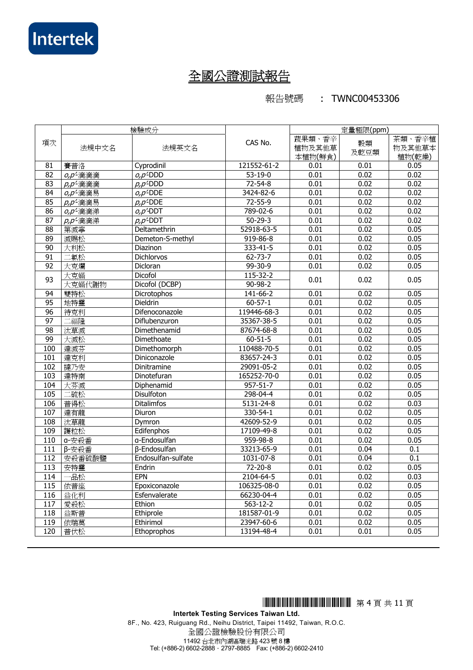報告號碼 : TWNC00453306

|                   |                                  | 檢驗成分                    |                 | 定量極限(ppm)                   |            |                            |
|-------------------|----------------------------------|-------------------------|-----------------|-----------------------------|------------|----------------------------|
| 項次                | 法規中文名                            | 法規英文名                   | CAS No.         | 蔬果類、香辛<br>植物及其他草<br>本植物(鮮食) | 穀類<br>及乾豆類 | 茶類、香辛植<br>物及其他草本<br>植物(乾燥) |
| 81                | 賽普洛                              | Cyprodinil              | 121552-61-2     | 0.01                        | 0.01       | 0.05                       |
| $\overline{82}$   | $\rho$ , $\rho$ <sup>2</sup> 滴滴滴 | $o, p$ <sup>2</sup> DDD | $53 - 19 - 0$   | 0.01                        | 0.02       | 0.02                       |
| $\overline{83}$   | p,p'滴滴滴                          | $p, p$ <sup>2</sup> DDD | $72 - 54 - 8$   | 0.01                        | 0.02       | 0.02                       |
| 84                | o,p <sup>2</sup> 滴滴易             | $O, D^2$ DDE            | 3424-82-6       | 0.01                        | 0.02       | 0.02                       |
| 85                | p,p'滴滴易                          | $p, p$ <sup>2</sup> DDE | $72 - 55 - 9$   | 0.01                        | 0.02       | 0.02                       |
| 86                | o,p <sup>c</sup> 滴滴涕             | $O, D'$ -DDT            | 789-02-6        | 0.01                        | 0.02       | 0.02                       |
| $\overline{87}$   | p,p'滴滴涕                          | $p, p$ <sup>L</sup> DDT | $50 - 29 - 3$   | 0.01                        | 0.02       | 0.02                       |
| 88                | 第滅寧                              | Deltamethrin            | 52918-63-5      | 0.01                        | 0.02       | 0.05                       |
| 89                | 滅賜松                              | Demeton-S-methyl        | 919-86-8        | 0.01                        | 0.02       | 0.05                       |
| $\overline{90}$   | 大利松                              | Diazinon                | $333 - 41 - 5$  | 0.01                        | 0.02       | 0.05                       |
| $\overline{91}$   | 氯松                               | <b>Dichlorvos</b>       | $62 - 73 - 7$   | 0.01                        | 0.02       | 0.05                       |
| 92                | 大克爛                              | Dicloran                | $99 - 30 - 9$   | 0.01                        | 0.02       | 0.05                       |
| 93                | 大克蟎                              | Dicofol                 | 115-32-2        | 0.01                        | 0.02       | 0.05                       |
|                   | 大克蟎代謝物                           | Dicofol (DCBP)          | $90 - 98 - 2$   |                             |            |                            |
| $\overline{94}$   | 雙特松                              | Dicrotophos             | $141 - 66 - 2$  | 0.01                        | 0.02       | 0.05                       |
| 95                | 地特靈                              | Dieldrin                | $60 - 57 - 1$   | 0.01                        | 0.02       | 0.05                       |
| 96                | 待克利                              | Difenoconazole          | 119446-68-3     | 0.01                        | 0.02       | 0.05                       |
| 97                | 福隆                               | Diflubenzuron           | 35367-38-5      | 0.01                        | 0.02       | 0.05                       |
| $\overline{98}$   | 汰草滅                              | Dimethenamid            | 87674-68-8      | 0.01                        | 0.02       | 0.05                       |
| 99                | 大滅松                              | Dimethoate              | $60 - 51 - 5$   | 0.01                        | 0.02       | 0.05                       |
| 100               | 達滅芬                              | Dimethomorph            | 110488-70-5     | 0.01                        | 0.02       | 0.05                       |
| 101               | 達克利                              | Diniconazole            | 83657-24-3      | 0.01                        | 0.02       | 0.05                       |
| 102               | 撻乃安                              | Dinitramine             | 29091-05-2      | 0.01                        | 0.02       | 0.05                       |
| 103               | 達特南                              | Dinotefuran             | 165252-70-0     | 0.01                        | 0.02       | 0.05                       |
| 104               | 大芬滅                              | Diphenamid              | $957 - 51 - 7$  | 0.01                        | 0.02       | 0.05                       |
| 105               | 二硫松                              | Disulfoton              | 298-04-4        | 0.01                        | 0.02       | 0.05                       |
| 106               | 普得松                              | <b>Ditalimfos</b>       | $5131 - 24 - 8$ | 0.01                        | 0.02       | 0.03                       |
| 107               | 達有龍                              | Diuron                  | 330-54-1        | 0.01                        | 0.02       | 0.05                       |
| 108               | 汰草龍                              | Dymron                  | 42609-52-9      | 0.01                        | 0.02       | 0.05                       |
| 109               | 護粒松                              | Edifenphos              | 17109-49-8      | 0.01                        | 0.02       | 0.05                       |
| 110               | a-安殺番                            | a-Endosulfan            | 959-98-8        | 0.01                        | 0.02       | 0.05                       |
| $\overline{111}$  | β-安殺番                            | <b>B-Endosulfan</b>     | 33213-65-9      | 0.01                        | 0.04       | $\overline{0.1}$           |
| 112               | 安殺番硫酸鹽                           | Endosulfan-sulfate      | 1031-07-8       | 0.01                        | 0.04       | 0.1                        |
| 113               | 安特靈                              | Endrin                  | $72 - 20 - 8$   | 0.01                        | 0.02       | 0.05                       |
| 114               | 品松                               | <b>EPN</b>              | 2104-64-5       | 0.01                        | 0.02       | 0.03                       |
| 115               | 依普座                              | Epoxiconazole           | 106325-08-0     | 0.01                        | 0.02       | 0.05                       |
| $\frac{116}{116}$ | 益化利                              | Esfenvalerate           | 66230-04-4      | 0.01                        | 0.02       | 0.05                       |
| 117               | 愛殺松                              | Ethion                  | $563 - 12 - 2$  | 0.01                        | 0.02       | 0.05                       |
| 118               | 益斯普                              | Ethiprole               | 181587-01-9     | 0.01                        | 0.02       | 0.05                       |
| 119               | 依瑞莫                              | Ethirimol               | 23947-60-6      | 0.01                        | 0.02       | 0.05                       |
| 120               | 普伏松                              | Ethoprophos             | 13194-48-4      | 0.01                        | 0.01       | 0.05                       |

\*THJ0453306\* <sup>第</sup> 4 <sup>頁</sup> <sup>共</sup> 11 <sup>頁</sup>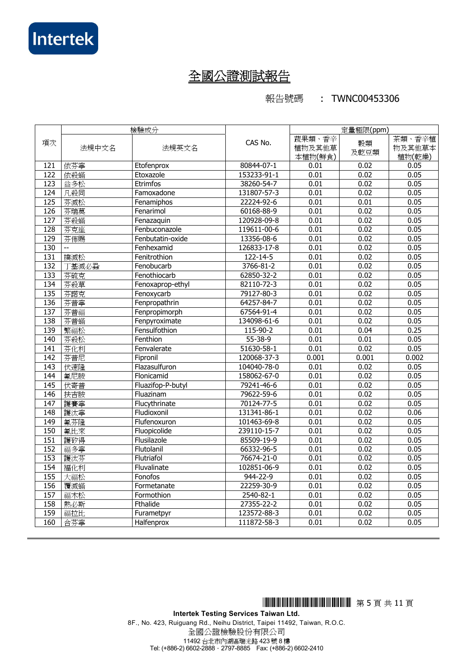報告號碼 : TWNC00453306

|                  | 檢驗成分  |                   |               | 定量極限(ppm)                   |            |                            |
|------------------|-------|-------------------|---------------|-----------------------------|------------|----------------------------|
| 項次               | 法規中文名 | 法規英文名             | CAS No.       | 蔬果類、香辛<br>植物及其他草<br>本植物(鮮食) | 穀類<br>及乾豆類 | 茶類、香辛植<br>物及其他草本<br>植物(乾燥) |
| 121              | 依芬寧   | Etofenprox        | 80844-07-1    | 0.01                        | 0.02       | 0.05                       |
| 122              | 依殺蟎   | Etoxazole         | 153233-91-1   | 0.01                        | 0.02       | 0.05                       |
| $\overline{123}$ | 益多松   | Etrimfos          | 38260-54-7    | 0.01                        | 0.02       | 0.05                       |
| 124              | 凡殺同   | Famoxadone        | 131807-57-3   | 0.01                        | 0.02       | 0.05                       |
| $\overline{125}$ | 芬滅松   | Fenamiphos        | 22224-92-6    | 0.01                        | 0.01       | 0.05                       |
| 126              | 芬瑞莫   | Fenarimol         | 60168-88-9    | 0.01                        | 0.02       | 0.05                       |
| $\overline{127}$ | 芬殺蟎   | Fenazaquin        | 120928-09-8   | 0.01                        | 0.02       | 0.05                       |
| 128              | 芬克座   | Fenbuconazole     | 119611-00-6   | 0.01                        | 0.02       | 0.05                       |
| 129              | 芬佈賜   | Fenbutatin-oxide  | 13356-08-6    | 0.01                        | 0.02       | 0.05                       |
| 130              | --    | Fenhexamid        | 126833-17-8   | 0.01                        | 0.02       | 0.05                       |
| 131              | 撲滅松   | Fenitrothion      | 122-14-5      | 0.01                        | 0.02       | 0.05                       |
| 132              | 丁基滅必蝨 | Fenobucarb        | 3766-81-2     | 0.01                        | 0.02       | 0.05                       |
| 133              | 芬硫克   | Fenothiocarb      | 62850-32-2    | 0.01                        | 0.02       | 0.05                       |
| 134              | 芬殺草   | Fenoxaprop-ethyl  | 82110-72-3    | 0.01                        | 0.02       | 0.05                       |
| 135              | 芬諾克   | Fenoxycarb        | 79127-80-3    | 0.01                        | 0.02       | 0.05                       |
| 136              | 芬普寧   | Fenpropathrin     | 64257-84-7    | 0.01                        | 0.02       | 0.05                       |
| $\overline{137}$ | 芬普福   | Fenpropimorph     | 67564-91-4    | 0.01                        | 0.02       | 0.05                       |
| 138              | 芬普蟎   | Fenpyroximate     | 134098-61-6   | 0.01                        | 0.02       | 0.05                       |
| 139              | 繁福松   | Fensulfothion     | 115-90-2      | 0.01                        | 0.04       | 0.25                       |
| 140              | 芬殺松   | Fenthion          | $55 - 38 - 9$ | 0.01                        | 0.01       | 0.05                       |
| $\overline{141}$ | 芬化利   | Fenvalerate       | 51630-58-1    | 0.01                        | 0.02       | 0.05                       |
| $\overline{142}$ | 芬普尼   | Fipronil          | 120068-37-3   | 0.001                       | 0.001      | 0.002                      |
| 143              | 伏速隆   | Flazasulfuron     | 104040-78-0   | 0.01                        | 0.02       | 0.05                       |
| 144              | 氟尼胺   | Flonicamid        | 158062-67-0   | 0.01                        | 0.02       | 0.05                       |
| 145              | 伏寄普   | Fluazifop-P-butyl | 79241-46-6    | 0.01                        | 0.02       | 0.05                       |
| 146              | 扶吉胺   | Fluazinam         | 79622-59-6    | 0.01                        | 0.02       | 0.05                       |
| 147              | 護賽寧   | Flucythrinate     | 70124-77-5    | 0.01                        | 0.02       | 0.05                       |
| 148              | 護汰寧   | Fludioxonil       | 131341-86-1   | 0.01                        | 0.02       | 0.06                       |
| 149              | 氟芬隆   | Flufenoxuron      | 101463-69-8   | 0.01                        | 0.02       | 0.05                       |
| 150              | 氟比來   | Fluopicolide      | 239110-15-7   | 0.01                        | 0.02       | 0.05                       |
| 151              | 護矽得   | Flusilazole       | 85509-19-9    | 0.01                        | 0.02       | 0.05                       |
| 152              | 福多寧   | Flutolanil        | 66332-96-5    | 0.01                        | 0.02       | 0.05                       |
| 153              | 護汰芬   | Flutriafol        | 76674-21-0    | 0.01                        | 0.02       | 0.05                       |
| 154              | 福化利   | Fluvalinate       | 102851-06-9   | 0.01                        | 0.02       | 0.05                       |
| 155              | 大福松   | Fonofos           | 944-22-9      | 0.01                        | 0.02       | 0.05                       |
| 156              | 覆滅蟎   | Formetanate       | 22259-30-9    | 0.01                        | 0.02       | 0.05                       |
| 157              | 福木松   | Formothion        | 2540-82-1     | 0.01                        | 0.02       | 0.05                       |
| 158              | 熱必斯   | Fthalide          | 27355-22-2    | 0.01                        | 0.02       | 0.05                       |
| 159              | 福拉比   | Furametpyr        | 123572-88-3   | 0.01                        | 0.02       | 0.05                       |
| 160              | 合芬寧   | Halfenprox        | 111872-58-3   | 0.01                        | 0.02       | 0.05                       |

\*THJ0453306\* <sup>第</sup> 5 <sup>頁</sup> <sup>共</sup> 11 <sup>頁</sup>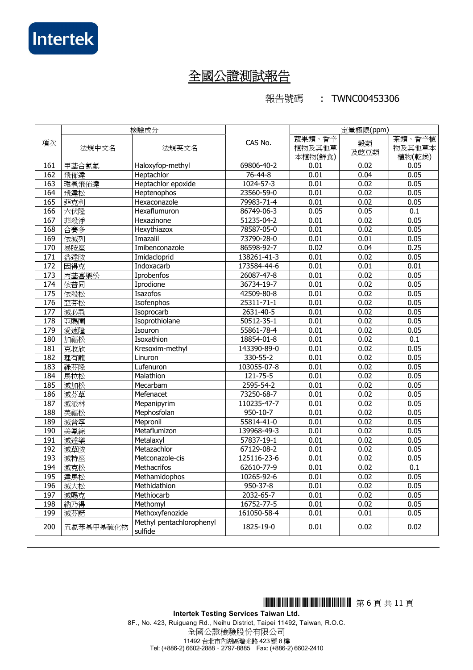報告號碼 : TWNC00453306

|                  |           | 檢驗成分                                |                  | 定量極限(ppm)                   |            |                            |
|------------------|-----------|-------------------------------------|------------------|-----------------------------|------------|----------------------------|
| 項次               | 法規中文名     | 法規英文名                               | CAS No.          | 蔬果類、香辛<br>植物及其他草<br>本植物(鮮食) | 穀類<br>及乾豆類 | 茶類、香辛植<br>物及其他草本<br>植物(乾燥) |
| 161              | 甲基合氯氟     | Haloxyfop-methyl                    | 69806-40-2       | 0.01                        | 0.02       | 0.05                       |
| 162              | 飛佈達       | Heptachlor                          | 76-44-8          | 0.01                        | 0.04       | 0.05                       |
| 163              | 環氧飛佈達     | Heptachlor epoxide                  | 1024-57-3        | 0.01                        | 0.02       | 0.05                       |
| 164              | 飛達松       | Heptenophos                         | 23560-59-0       | 0.01                        | 0.02       | 0.05                       |
| 165              | 菲克利       | Hexaconazole                        | 79983-71-4       | 0.01                        | 0.02       | 0.05                       |
| 166              | 六伏隆       | Hexaflumuron                        | 86749-06-3       | 0.05                        | 0.05       | $\overline{0.1}$           |
| 167              | 菲殺淨       | Hexazinone                          | 51235-04-2       | 0.01                        | 0.02       | 0.05                       |
| 168              | 合賽多       | Hexythiazox                         | 78587-05-0       | 0.01                        | 0.02       | 0.05                       |
| 169              | 依滅列       | Imazalil                            | 73790-28-0       | 0.01                        | 0.01       | 0.05                       |
| 170              | 易胺座       | Imibenconazole                      | 86598-92-7       | 0.02                        | 0.04       | 0.25                       |
| 171              | 益達胺       | Imidacloprid                        | 138261-41-3      | 0.01                        | 0.02       | 0.05                       |
| 172              | 因得克       | Indoxacarb                          | 173584-44-6      | 0.01                        | 0.01       | 0.01                       |
| 173              | 丙基喜樂松     | <b>Iprobenfos</b>                   | 26087-47-8       | 0.01                        | 0.02       | 0.05                       |
| 174              | 依普同       | Iprodione                           | 36734-19-7       | 0.01                        | 0.02       | 0.05                       |
| 175              | 依殺松       | Isazofos                            | 42509-80-8       | 0.01                        | 0.02       | 0.05                       |
| 176              | 亞芬松       | Isofenphos                          | $25311 - 71 - 1$ | 0.01                        | 0.02       | 0.05                       |
| $\overline{177}$ | 滅必蝨       | Isoprocarb                          | 2631-40-5        | 0.01                        | 0.02       | 0.05                       |
| 178              | 亞賜圃       | Isoprothiolane                      | 50512-35-1       | 0.01                        | 0.02       | 0.05                       |
| 179              | 愛速隆       | Isouron                             | 55861-78-4       | 0.01                        | 0.02       | 0.05                       |
| 180              | 加福松       | Isoxathion                          | 18854-01-8       | 0.01                        | 0.02       | 0.1                        |
| 181              | 克收欣       | Kresoxim-methyl                     | 143390-89-0      | 0.01                        | 0.02       | 0.05                       |
| 182              | 理有龍       | Linuron                             | 330-55-2         | 0.01                        | 0.02       | 0.05                       |
| 183              | 祿芬隆       | Lufenuron                           | 103055-07-8      | 0.01                        | 0.02       | 0.05                       |
| 184              | 馬拉松       | Malathion                           | 121-75-5         | 0.01                        | 0.02       | 0.05                       |
| 185              | 滅加松       | Mecarbam                            | 2595-54-2        | 0.01                        | 0.02       | 0.05                       |
| 186              | 滅芬草       | Mefenacet                           | 73250-68-7       | 0.01                        | 0.02       | 0.05                       |
| 187              | 滅派林       | Mepanipyrim                         | 110235-47-7      | 0.01                        | 0.02       | 0.05                       |
| 188              | 美福松       | Mephosfolan                         | $950 - 10 - 7$   | 0.01                        | 0.02       | 0.05                       |
| 189              | 滅普寧       | Mepronil                            | 55814-41-0       | 0.01                        | 0.02       | 0.05                       |
| 190              | 美氟綜       | Metaflumizon                        | 139968-49-3      | 0.01                        | 0.02       | 0.05                       |
| 191              | 滅達樂       | Metalaxyl                           | 57837-19-1       | 0.01                        | 0.02       | 0.05                       |
| 192              | 滅草胺       | Metazachlor                         | 67129-08-2       | 0.01                        | 0.02       | 0.05                       |
| 193              | 滅特座       | Metconazole-cis                     | 125116-23-6      | 0.01                        | 0.02       | 0.05                       |
| 194              | 滅克松       | <b>Methacrifos</b>                  | 62610-77-9       | 0.01                        | 0.02       | $\overline{0.1}$           |
| 195              | 達馬松       | Methamidophos                       | 10265-92-6       | 0.01                        | 0.02       | 0.05                       |
| 196              | 滅大松       | Methidathion                        | 950-37-8         | 0.01                        | 0.02       | 0.05                       |
| 197              | 滅賜克       | Methiocarb                          | 2032-65-7        | 0.01                        | 0.02       | 0.05                       |
| 198              | 納乃得       | Methomyl                            | 16752-77-5       | 0.01                        | 0.02       | 0.05                       |
| 199              | 滅芬諾       | Methoxyfenozide                     | 161050-58-4      | 0.01                        | 0.01       | 0.05                       |
| 200              | 五氯苯基甲基硫化物 | Methyl pentachlorophenyl<br>sulfide | 1825-19-0        | 0.01                        | 0.02       | 0.02                       |

\*THJ0453306\* <sup>第</sup> 6 <sup>頁</sup> <sup>共</sup> 11 <sup>頁</sup>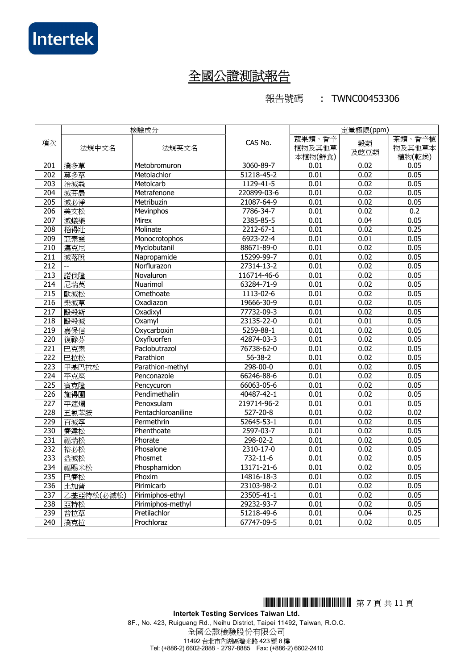報告號碼 : TWNC00453306

|                  |            | 檢驗成分               |                  | 定量極限(ppm)                   |            |                            |
|------------------|------------|--------------------|------------------|-----------------------------|------------|----------------------------|
| 項次               | 法規中文名      | 法規英文名              | CAS No.          | 蔬果類、香辛<br>植物及其他草<br>本植物(鮮食) | 穀類<br>及乾豆類 | 茶類、香辛植<br>物及其他草本<br>植物(乾燥) |
| 201              | 撲多草        | Metobromuron       | 3060-89-7        | 0.01                        | 0.02       | 0.05                       |
| 202              | 莫多草        | Metolachlor        | $51218 - 45 - 2$ | 0.01                        | 0.02       | 0.05                       |
| 203              | 治滅蝨        | Metolcarb          | 1129-41-5        | 0.01                        | 0.02       | 0.05                       |
| $\overline{204}$ | 滅芬農        | Metrafenone        | 220899-03-6      | 0.01                        | 0.02       | 0.05                       |
| 205              | 滅必淨        | Metribuzin         | 21087-64-9       | 0.01                        | 0.02       | 0.05                       |
| 206              | 美文松        | Mevinphos          | 7786-34-7        | 0.01                        | 0.02       | 0.2                        |
| $\overline{207}$ | 滅蟻樂        | Mirex              | 2385-85-5        | 0.01                        | 0.04       | 0.05                       |
| 208              | 稻得壯        | Molinate           | $2212 - 67 - 1$  | 0.01                        | 0.02       | 0.25                       |
| 209              | 亞素靈        | Monocrotophos      | 6923-22-4        | 0.01                        | 0.01       | 0.05                       |
| 210              | 邁克尼        | Myclobutanil       | 88671-89-0       | 0.01                        | 0.02       | 0.05                       |
| 211              | 滅落脫        | Napropamide        | 15299-99-7       | 0.01                        | 0.02       | 0.05                       |
| 212              | Ξ.         | Norflurazon        | 27314-13-2       | 0.01                        | 0.02       | 0.05                       |
| 213              | 諾伐隆        | Novaluron          | 116714-46-6      | 0.01                        | 0.02       | 0.05                       |
| 214              | 尼瑞莫        | Nuarimol           | 63284-71-9       | 0.01                        | 0.02       | 0.05                       |
| $\overline{215}$ | 歐滅松        | Omethoate          | 1113-02-6        | 0.01                        | 0.02       | 0.05                       |
| 216              | 樂滅草        | Oxadiazon          | 19666-30-9       | 0.01                        | 0.02       | 0.05                       |
| $\overline{217}$ | 毆殺斯        | Oxadixyl           | 77732-09-3       | 0.01                        | 0.02       | 0.05                       |
| 218              | 毆殺滅        | Oxamyl             | 23135-22-0       | 0.01                        | 0.01       | 0.05                       |
| $\overline{219}$ | 嘉保信        | Oxycarboxin        | 5259-88-1        | 0.01                        | 0.02       | 0.05                       |
| 220              | 復祿芬        | Oxyfluorfen        | 42874-03-3       | 0.01                        | 0.02       | 0.05                       |
| $\overline{221}$ | 巴克素        | Paclobutrazol      | 76738-62-0       | 0.01                        | 0.02       | 0.05                       |
| $\overline{222}$ | 巴拉松        | Parathion          | $56 - 38 - 2$    | 0.01                        | 0.02       | 0.05                       |
| 223              | 甲基巴拉松      | Parathion-methyl   | 298-00-0         | 0.01                        | 0.02       | 0.05                       |
| $\overline{224}$ | 平克座        | Penconazole        | 66246-88-6       | 0.01                        | 0.02       | 0.05                       |
| $\overline{225}$ | 賓克隆        | Pencycuron         | 66063-05-6       | 0.01                        | 0.02       | 0.05                       |
| $\overline{226}$ | 施得圃        | Pendimethalin      | 40487-42-1       | 0.01                        | 0.02       | 0.05                       |
| $\overline{227}$ | 平速爛        | Penoxsulam         | 219714-96-2      | 0.01                        | 0.01       | 0.05                       |
| 228              | 五氯苯胺       | Pentachloroaniline | $527 - 20 - 8$   | 0.01                        | 0.02       | 0.02                       |
| 229              | 百滅寧        | Permethrin         | 52645-53-1       | 0.01                        | 0.02       | 0.05                       |
| 230              | 賽達松        | Phenthoate         | 2597-03-7        | 0.01                        | 0.02       | 0.05                       |
| 231              | 福瑞松        | Phorate            | 298-02-2         | 0.01                        | 0.02       | 0.05                       |
| $\overline{232}$ | 裕必松        | Phosalone          | 2310-17-0        | 0.01                        | 0.02       | 0.05                       |
| 233              | 益滅松        | Phosmet            | 732-11-6         | 0.01                        | 0.02       | 0.05                       |
| 234              | 福賜米松       | Phosphamidon       | 13171-21-6       | 0.01                        | 0.02       | 0.05                       |
| 235              | 巴賽松        | Phoxim             | 14816-18-3       | 0.01                        | 0.02       | 0.05                       |
| 236              | 比加普        | Pirimicarb         | 23103-98-2       | 0.01                        | 0.02       | 0.05                       |
| 237              | 乙基亞特松(必滅松) | Pirimiphos-ethyl   | $23505 - 41 - 1$ | 0.01                        | 0.02       | 0.05                       |
| 238              | 亞特松        | Pirimiphos-methyl  | 29232-93-7       | 0.01                        | 0.02       | 0.05                       |
| 239              | 普拉草        | Pretilachlor       | 51218-49-6       | 0.01                        | 0.04       | 0.25                       |
| 240              | 撲克拉        | Prochloraz         | 67747-09-5       | 0.01                        | 0.02       | 0.05                       |

\*THJ0453306\* <sup>第</sup> 7 <sup>頁</sup> <sup>共</sup> 11 <sup>頁</sup>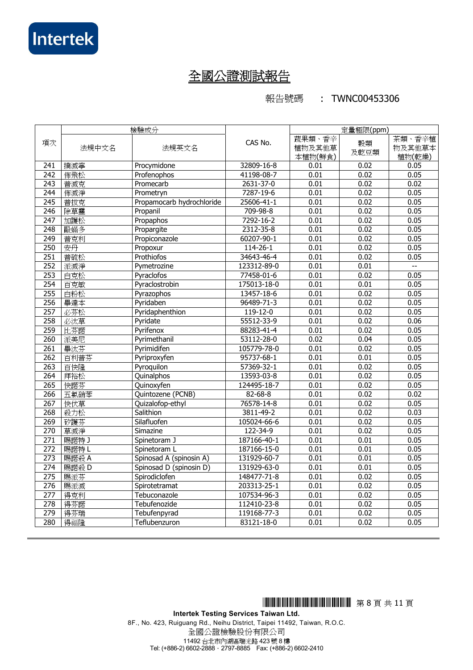報告號碼 : TWNC00453306

|                  | 檢驗成分  |                           |                  | 定量極限(ppm)                   |            |                            |
|------------------|-------|---------------------------|------------------|-----------------------------|------------|----------------------------|
| 項次               | 法規中文名 | 法規英文名                     | CAS No.          | 蔬果類、香辛<br>植物及其他草<br>本植物(鮮食) | 穀類<br>及乾豆類 | 茶類、香辛植<br>物及其他草本<br>植物(乾燥) |
| 241              | 撲滅寧   | Procymidone               | 32809-16-8       | 0.01                        | 0.02       | 0.05                       |
| 242              | 佈飛松   | Profenophos               | 41198-08-7       | 0.01                        | 0.02       | 0.05                       |
| 243              | 普滅克   | Promecarb                 | 2631-37-0        | 0.01                        | 0.02       | 0.02                       |
| $\overline{244}$ | 佈滅淨   | Prometryn                 | 7287-19-6        | 0.01                        | 0.02       | 0.05                       |
| $\overline{245}$ | 普拔克   | Propamocarb hydrochloride | 25606-41-1       | 0.01                        | 0.02       | 0.05                       |
| 246              | 除草靈   | Propanil                  | 709-98-8         | 0.01                        | 0.02       | 0.05                       |
| $\overline{247}$ | 加護松   | Propaphos                 | 7292-16-2        | 0.01                        | 0.02       | 0.05                       |
| 248              | 毆蟎多   | Propargite                | 2312-35-8        | 0.01                        | 0.02       | 0.05                       |
| 249              | 普克利   | Propiconazole             | 60207-90-1       | 0.01                        | 0.02       | 0.05                       |
| 250              | 安丹    | Propoxur                  | $114 - 26 - 1$   | 0.01                        | 0.02       | 0.05                       |
| 251              | 普硫松   | Prothiofos                | 34643-46-4       | 0.01                        | 0.02       | 0.05                       |
| 252              | 派滅淨   | Pymetrozine               | 123312-89-0      | 0.01                        | 0.01       | $-$                        |
| 253              | 白克松   | Pyraclofos                | 77458-01-6       | 0.01                        | 0.02       | 0.05                       |
| 254              | 百克敏   | Pyraclostrobin            | 175013-18-0      | 0.01                        | 0.01       | 0.05                       |
| 255              | 白粉松   | Pyrazophos                | 13457-18-6       | 0.01                        | 0.02       | 0.05                       |
| 256              | 畢達本   | Pyridaben                 | 96489-71-3       | 0.01                        | 0.02       | 0.05                       |
| 257              | 必芬松   | Pyridaphenthion           | $119 - 12 - 0$   | 0.01                        | 0.02       | 0.05                       |
| 258              | 必汰草   | Pyridate                  | 55512-33-9       | 0.01                        | 0.02       | 0.06                       |
| 259              | 比芬諾   | Pyrifenox                 | 88283-41-4       | 0.01                        | 0.02       | 0.05                       |
| 260              | 派美尼   | Pyrimethanil              | 53112-28-0       | 0.02                        | 0.04       | 0.05                       |
| 261              | 畢汰芬   | Pyrimidifen               | 105779-78-0      | 0.01                        | 0.02       | 0.05                       |
| $\overline{262}$ | 百利普芬  | Pyriproxyfen              | 95737-68-1       | 0.01                        | 0.01       | 0.05                       |
| $\overline{263}$ | 百快隆   | Pyroquilon                | 57369-32-1       | 0.01                        | 0.02       | 0.05                       |
| 264              | 拜裕松   | Quinalphos                | 13593-03-8       | 0.01                        | 0.02       | 0.05                       |
| 265              | 快諾芬   | Quinoxyfen                | 124495-18-7      | 0.01                        | 0.02       | 0.05                       |
| 266              | 五氯硝苯  | Quintozene (PCNB)         | $82 - 68 - 8$    | 0.01                        | 0.02       | 0.02                       |
| 267              | 快伏草   | Quizalofop-ethyl          | 76578-14-8       | 0.01                        | 0.02       | 0.05                       |
| 268              | 殺力松   | Salithion                 | 3811-49-2        | 0.01                        | 0.02       | 0.03                       |
| 269              | 矽護芬   | Silafluofen               | 105024-66-6      | 0.01                        | 0.02       | 0.05                       |
| 270              | 草滅淨   | Simazine                  | 122-34-9         | 0.01                        | 0.02       | 0.05                       |
| $\overline{271}$ | 賜諾特 J | Spinetoram J              | 187166-40-1      | 0.01                        | 0.01       | 0.05                       |
| $\overline{272}$ | 賜諾特L  | Spinetoram L              | 187166-15-0      | 0.01                        | 0.01       | 0.05                       |
| 273              | 賜諾殺 A | Spinosad A (spinosin A)   | 131929-60-7      | 0.01                        | 0.01       | 0.05                       |
| $\overline{274}$ | 賜諾殺 D | Spinosad D (spinosin D)   | 131929-63-0      | 0.01                        | 0.01       | 0.05                       |
| $\overline{275}$ | 賜派芬   | Spirodiclofen             | 148477-71-8      | 0.01                        | 0.02       | 0.05                       |
| 276              | 賜派滅   | Spirotetramat             | 203313-25-1      | 0.01                        | 0.02       | 0.05                       |
| $\overline{277}$ | 得克利   | Tebuconazole              | 107534-96-3      | 0.01                        | 0.02       | 0.05                       |
| 278              | 得芬諾   | Tebufenozide              | 112410-23-8      | 0.01                        | 0.02       | 0.05                       |
| 279              | 得芬瑞   | Tebufenpyrad              | 119168-77-3      | 0.01                        | 0.02       | 0.05                       |
| 280              | 得福隆   | Teflubenzuron             | $83121 - 18 - 0$ | 0.01                        | 0.02       | 0.05                       |

\*THJ0453306\* <sup>第</sup> 8 <sup>頁</sup> <sup>共</sup> 11 <sup>頁</sup>